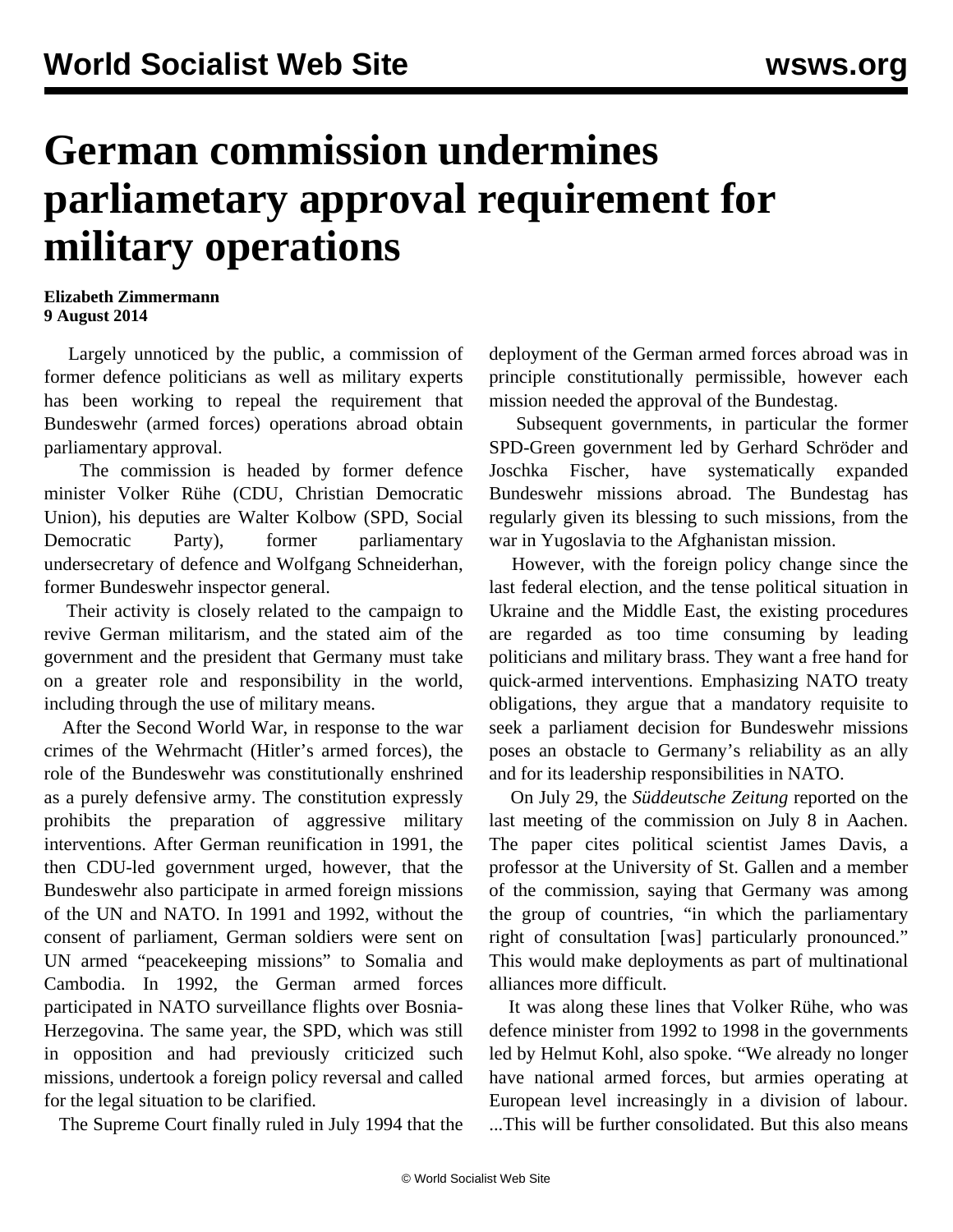## **German commission undermines parliametary approval requirement for military operations**

## **Elizabeth Zimmermann 9 August 2014**

 Largely unnoticed by the public, a commission of former defence politicians as well as military experts has been working to repeal the requirement that Bundeswehr (armed forces) operations abroad obtain parliamentary approval.

 The commission is headed by former defence minister Volker Rühe (CDU, Christian Democratic Union), his deputies are Walter Kolbow (SPD, Social Democratic Party), former parliamentary undersecretary of defence and Wolfgang Schneiderhan, former Bundeswehr inspector general.

 Their activity is closely related to the campaign to revive German militarism, and the stated aim of the government and the president that Germany must take on a greater role and responsibility in the world, including through the use of military means.

 After the Second World War, in response to the war crimes of the Wehrmacht (Hitler's armed forces), the role of the Bundeswehr was constitutionally enshrined as a purely defensive army. The constitution expressly prohibits the preparation of aggressive military interventions. After German reunification in 1991, the then CDU-led government urged, however, that the Bundeswehr also participate in armed foreign missions of the UN and NATO. In 1991 and 1992, without the consent of parliament, German soldiers were sent on UN armed "peacekeeping missions" to Somalia and Cambodia. In 1992, the German armed forces participated in NATO surveillance flights over Bosnia-Herzegovina. The same year, the SPD, which was still in opposition and had previously criticized such missions, undertook a foreign policy reversal and called for the legal situation to be clarified.

The Supreme Court finally ruled in July 1994 that the

deployment of the German armed forces abroad was in principle constitutionally permissible, however each mission needed the approval of the Bundestag.

 Subsequent governments, in particular the former SPD-Green government led by Gerhard Schröder and Joschka Fischer, have systematically expanded Bundeswehr missions abroad. The Bundestag has regularly given its blessing to such missions, from the war in Yugoslavia to the Afghanistan mission.

 However, with the foreign policy change since the last federal election, and the tense political situation in Ukraine and the Middle East, the existing procedures are regarded as too time consuming by leading politicians and military brass. They want a free hand for quick-armed interventions. Emphasizing NATO treaty obligations, they argue that a mandatory requisite to seek a parliament decision for Bundeswehr missions poses an obstacle to Germany's reliability as an ally and for its leadership responsibilities in NATO.

 On July 29, the *Süddeutsche Zeitung* reported on the last meeting of the commission on July 8 in Aachen. The paper cites political scientist James Davis, a professor at the University of St. Gallen and a member of the commission, saying that Germany was among the group of countries, "in which the parliamentary right of consultation [was] particularly pronounced." This would make deployments as part of multinational alliances more difficult.

 It was along these lines that Volker Rühe, who was defence minister from 1992 to 1998 in the governments led by Helmut Kohl, also spoke. "We already no longer have national armed forces, but armies operating at European level increasingly in a division of labour. ...This will be further consolidated. But this also means